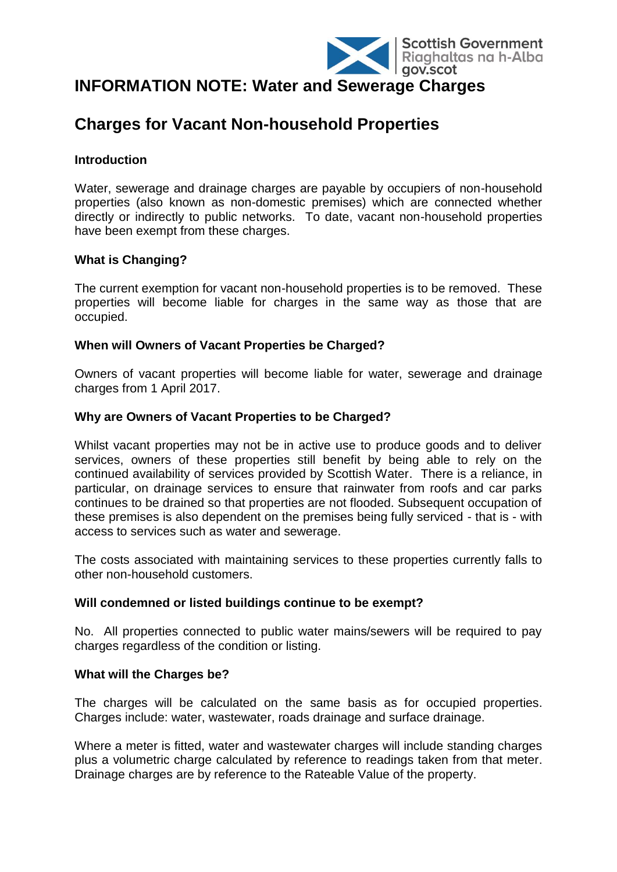

# **INFORMATION NOTE: Water and Sewerage Charges**

# **Charges for Vacant Non-household Properties**

## **Introduction**

Water, sewerage and drainage charges are payable by occupiers of non-household properties (also known as non-domestic premises) which are connected whether directly or indirectly to public networks. To date, vacant non-household properties have been exempt from these charges.

# **What is Changing?**

The current exemption for vacant non-household properties is to be removed. These properties will become liable for charges in the same way as those that are occupied.

# **When will Owners of Vacant Properties be Charged?**

Owners of vacant properties will become liable for water, sewerage and drainage charges from 1 April 2017.

# **Why are Owners of Vacant Properties to be Charged?**

Whilst vacant properties may not be in active use to produce goods and to deliver services, owners of these properties still benefit by being able to rely on the continued availability of services provided by Scottish Water. There is a reliance, in particular, on drainage services to ensure that rainwater from roofs and car parks continues to be drained so that properties are not flooded. Subsequent occupation of these premises is also dependent on the premises being fully serviced - that is - with access to services such as water and sewerage.

The costs associated with maintaining services to these properties currently falls to other non-household customers.

## **Will condemned or listed buildings continue to be exempt?**

No. All properties connected to public water mains/sewers will be required to pay charges regardless of the condition or listing.

## **What will the Charges be?**

The charges will be calculated on the same basis as for occupied properties. Charges include: water, wastewater, roads drainage and surface drainage.

Where a meter is fitted, water and wastewater charges will include standing charges plus a volumetric charge calculated by reference to readings taken from that meter. Drainage charges are by reference to the Rateable Value of the property.